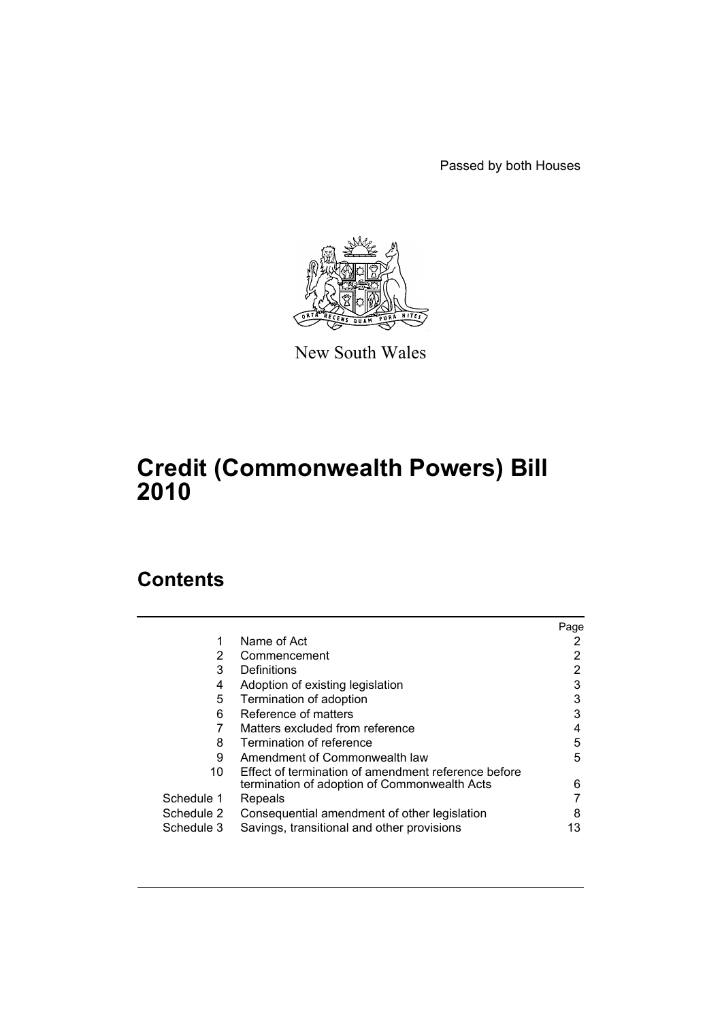Passed by both Houses



New South Wales

# **Credit (Commonwealth Powers) Bill 2010**

# **Contents**

|            |                                                     | Page |
|------------|-----------------------------------------------------|------|
|            | Name of Act                                         |      |
| 2          | Commencement                                        |      |
| 3          | Definitions                                         | 2    |
| 4          | Adoption of existing legislation                    | 3    |
| 5          | Termination of adoption                             | 3    |
| 6          | Reference of matters                                | 3    |
|            | Matters excluded from reference                     |      |
| 8          | Termination of reference                            | 5    |
| 9          | Amendment of Commonwealth law                       | 5    |
| 10         | Effect of termination of amendment reference before |      |
|            | termination of adoption of Commonwealth Acts        | 6    |
| Schedule 1 | Repeals                                             |      |
| Schedule 2 | Consequential amendment of other legislation        | 8    |
| Schedule 3 | Savings, transitional and other provisions          | 13   |
|            |                                                     |      |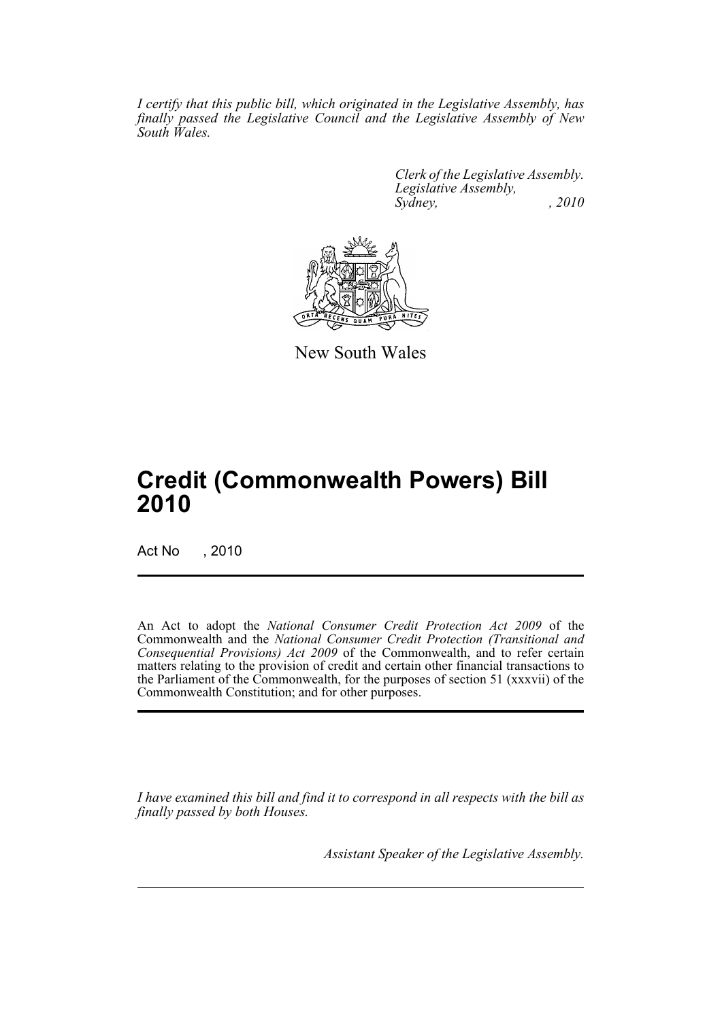*I certify that this public bill, which originated in the Legislative Assembly, has finally passed the Legislative Council and the Legislative Assembly of New South Wales.*

> *Clerk of the Legislative Assembly. Legislative Assembly, Sydney, , 2010*



New South Wales

# **Credit (Commonwealth Powers) Bill 2010**

Act No , 2010

An Act to adopt the *National Consumer Credit Protection Act 2009* of the Commonwealth and the *National Consumer Credit Protection (Transitional and Consequential Provisions) Act 2009* of the Commonwealth, and to refer certain matters relating to the provision of credit and certain other financial transactions to the Parliament of the Commonwealth, for the purposes of section 51 (xxxvii) of the Commonwealth Constitution; and for other purposes.

*I have examined this bill and find it to correspond in all respects with the bill as finally passed by both Houses.*

*Assistant Speaker of the Legislative Assembly.*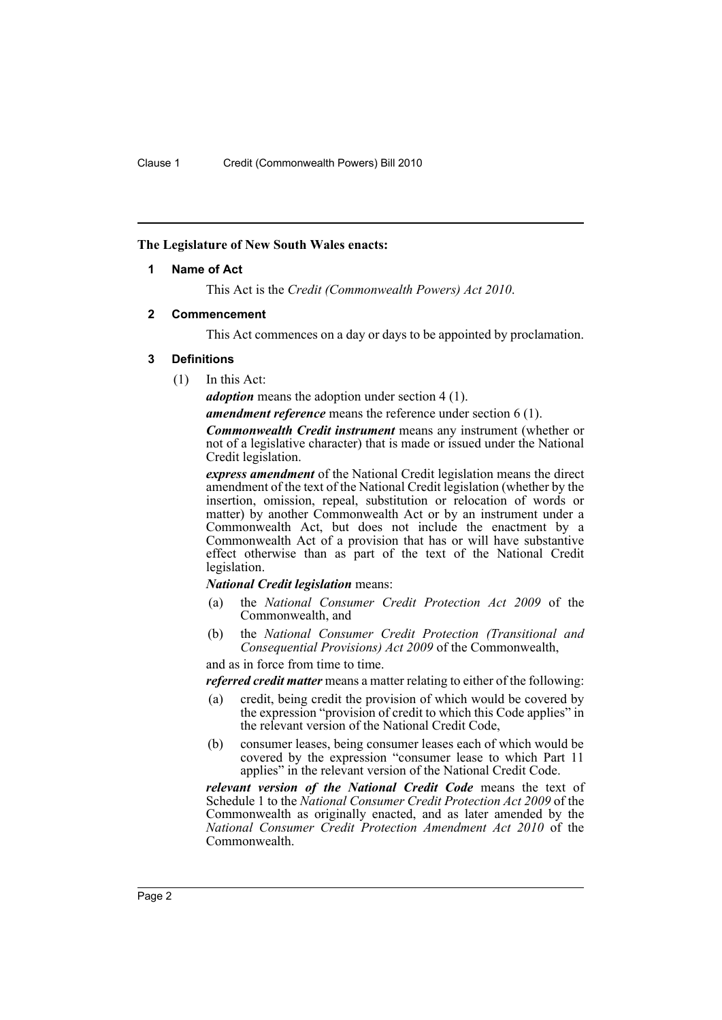#### <span id="page-2-0"></span>**The Legislature of New South Wales enacts:**

#### **1 Name of Act**

This Act is the *Credit (Commonwealth Powers) Act 2010*.

#### <span id="page-2-1"></span>**2 Commencement**

This Act commences on a day or days to be appointed by proclamation.

#### <span id="page-2-2"></span>**3 Definitions**

(1) In this Act:

*adoption* means the adoption under section 4 (1).

*amendment reference* means the reference under section 6 (1).

*Commonwealth Credit instrument* means any instrument (whether or not of a legislative character) that is made or issued under the National Credit legislation.

*express amendment* of the National Credit legislation means the direct amendment of the text of the National Credit legislation (whether by the insertion, omission, repeal, substitution or relocation of words or matter) by another Commonwealth Act or by an instrument under a Commonwealth Act, but does not include the enactment by a Commonwealth Act of a provision that has or will have substantive effect otherwise than as part of the text of the National Credit legislation.

#### *National Credit legislation* means:

- (a) the *National Consumer Credit Protection Act 2009* of the Commonwealth, and
- (b) the *National Consumer Credit Protection (Transitional and Consequential Provisions) Act 2009* of the Commonwealth,

and as in force from time to time.

*referred credit matter* means a matter relating to either of the following:

- (a) credit, being credit the provision of which would be covered by the expression "provision of credit to which this Code applies" in the relevant version of the National Credit Code,
- (b) consumer leases, being consumer leases each of which would be covered by the expression "consumer lease to which Part 11 applies" in the relevant version of the National Credit Code.

*relevant version of the National Credit Code* means the text of Schedule 1 to the *National Consumer Credit Protection Act 2009* of the Commonwealth as originally enacted, and as later amended by the *National Consumer Credit Protection Amendment Act 2010* of the Commonwealth.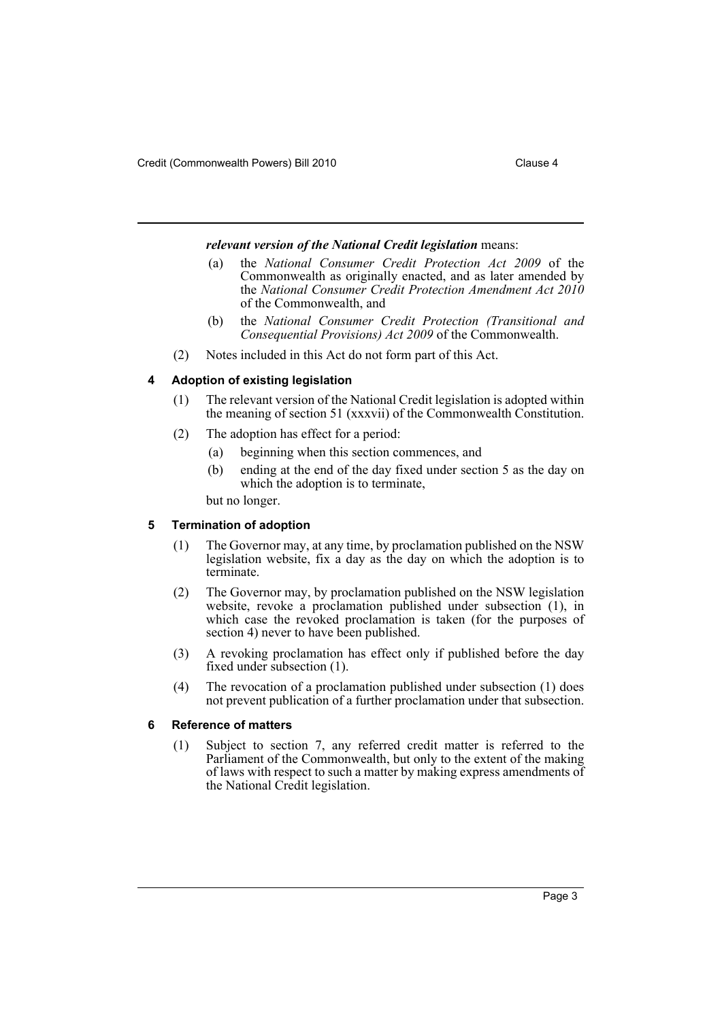#### *relevant version of the National Credit legislation* means:

- (a) the *National Consumer Credit Protection Act 2009* of the Commonwealth as originally enacted, and as later amended by the *National Consumer Credit Protection Amendment Act 2010* of the Commonwealth, and
- (b) the *National Consumer Credit Protection (Transitional and Consequential Provisions) Act 2009* of the Commonwealth.
- (2) Notes included in this Act do not form part of this Act.

#### <span id="page-3-0"></span>**4 Adoption of existing legislation**

- (1) The relevant version of the National Credit legislation is adopted within the meaning of section 51 (xxxvii) of the Commonwealth Constitution.
- (2) The adoption has effect for a period:
	- (a) beginning when this section commences, and
	- (b) ending at the end of the day fixed under section 5 as the day on which the adoption is to terminate,

but no longer.

#### <span id="page-3-1"></span>**5 Termination of adoption**

- (1) The Governor may, at any time, by proclamation published on the NSW legislation website, fix a day as the day on which the adoption is to terminate.
- (2) The Governor may, by proclamation published on the NSW legislation website, revoke a proclamation published under subsection (1), in which case the revoked proclamation is taken (for the purposes of section 4) never to have been published.
- (3) A revoking proclamation has effect only if published before the day fixed under subsection (1).
- (4) The revocation of a proclamation published under subsection (1) does not prevent publication of a further proclamation under that subsection.

#### <span id="page-3-2"></span>**6 Reference of matters**

(1) Subject to section 7, any referred credit matter is referred to the Parliament of the Commonwealth, but only to the extent of the making of laws with respect to such a matter by making express amendments of the National Credit legislation.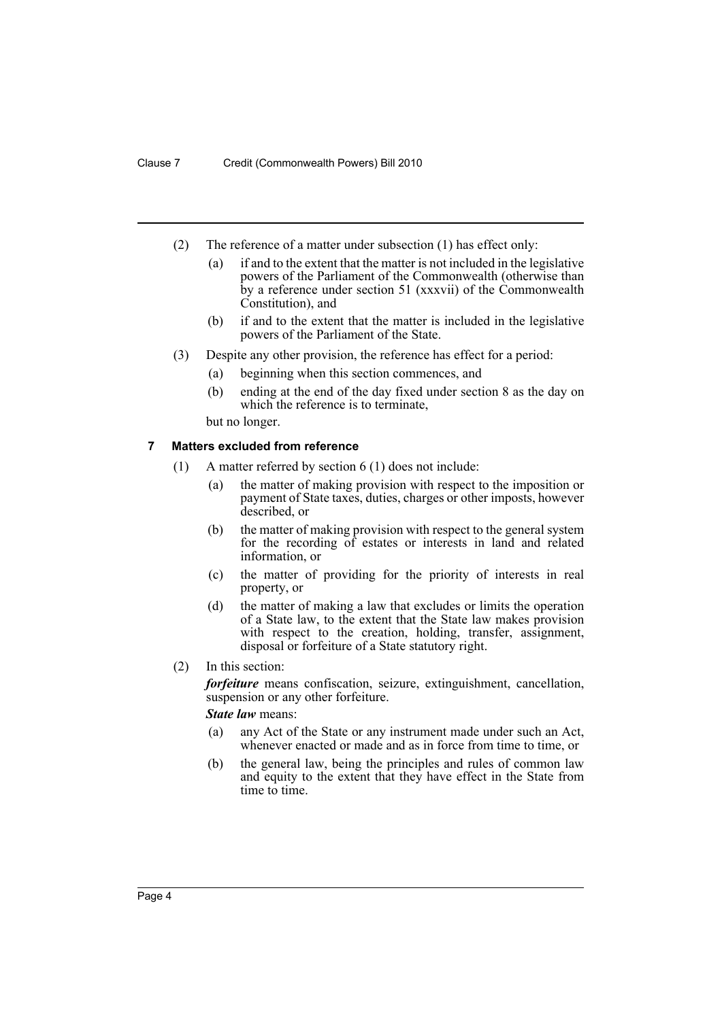- (2) The reference of a matter under subsection (1) has effect only:
	- (a) if and to the extent that the matter is not included in the legislative powers of the Parliament of the Commonwealth (otherwise than by a reference under section 51 (xxxvii) of the Commonwealth Constitution), and
	- (b) if and to the extent that the matter is included in the legislative powers of the Parliament of the State.
- (3) Despite any other provision, the reference has effect for a period:
	- (a) beginning when this section commences, and
	- (b) ending at the end of the day fixed under section 8 as the day on which the reference is to terminate,

but no longer.

## <span id="page-4-0"></span>**7 Matters excluded from reference**

- (1) A matter referred by section 6 (1) does not include:
	- (a) the matter of making provision with respect to the imposition or payment of State taxes, duties, charges or other imposts, however described, or
	- (b) the matter of making provision with respect to the general system for the recording of estates or interests in land and related information, or
	- (c) the matter of providing for the priority of interests in real property, or
	- (d) the matter of making a law that excludes or limits the operation of a State law, to the extent that the State law makes provision with respect to the creation, holding, transfer, assignment, disposal or forfeiture of a State statutory right.
- (2) In this section:

*forfeiture* means confiscation, seizure, extinguishment, cancellation, suspension or any other forfeiture.

*State law* means:

- (a) any Act of the State or any instrument made under such an Act, whenever enacted or made and as in force from time to time, or
- (b) the general law, being the principles and rules of common law and equity to the extent that they have effect in the State from time to time.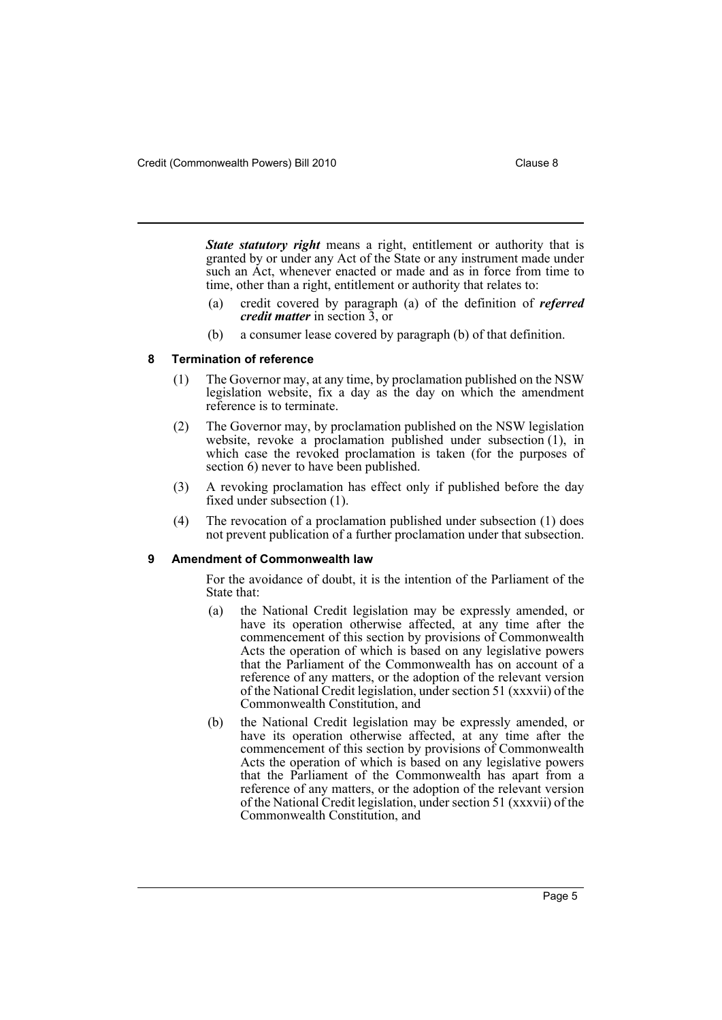*State statutory right* means a right, entitlement or authority that is granted by or under any Act of the State or any instrument made under such an Act, whenever enacted or made and as in force from time to time, other than a right, entitlement or authority that relates to:

- (a) credit covered by paragraph (a) of the definition of *referred credit matter* in section 3, or
- (b) a consumer lease covered by paragraph (b) of that definition.

#### <span id="page-5-0"></span>**8 Termination of reference**

- (1) The Governor may, at any time, by proclamation published on the NSW legislation website, fix a day as the day on which the amendment reference is to terminate.
- (2) The Governor may, by proclamation published on the NSW legislation website, revoke a proclamation published under subsection (1), in which case the revoked proclamation is taken (for the purposes of section 6) never to have been published.
- (3) A revoking proclamation has effect only if published before the day fixed under subsection (1).
- (4) The revocation of a proclamation published under subsection (1) does not prevent publication of a further proclamation under that subsection.

#### <span id="page-5-1"></span>**9 Amendment of Commonwealth law**

For the avoidance of doubt, it is the intention of the Parliament of the State that:

- (a) the National Credit legislation may be expressly amended, or have its operation otherwise affected, at any time after the commencement of this section by provisions of Commonwealth Acts the operation of which is based on any legislative powers that the Parliament of the Commonwealth has on account of a reference of any matters, or the adoption of the relevant version of the National Credit legislation, under section 51 (xxxvii) of the Commonwealth Constitution, and
- (b) the National Credit legislation may be expressly amended, or have its operation otherwise affected, at any time after the commencement of this section by provisions of Commonwealth Acts the operation of which is based on any legislative powers that the Parliament of the Commonwealth has apart from a reference of any matters, or the adoption of the relevant version of the National Credit legislation, under section 51 (xxxvii) of the Commonwealth Constitution, and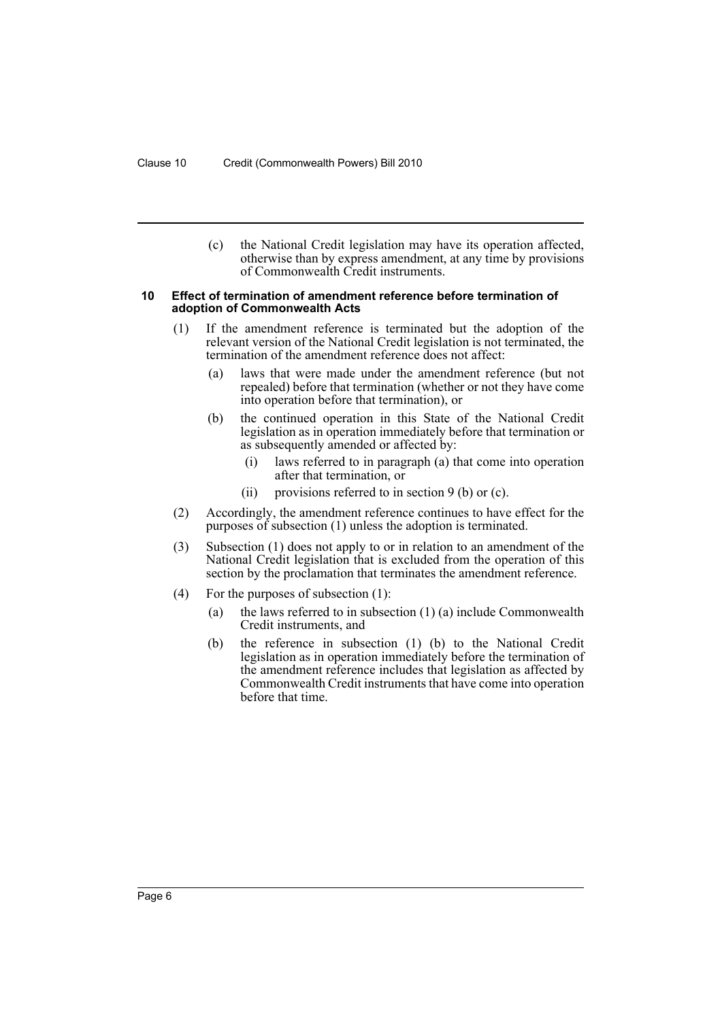(c) the National Credit legislation may have its operation affected, otherwise than by express amendment, at any time by provisions of Commonwealth Credit instruments.

#### <span id="page-6-0"></span>**10 Effect of termination of amendment reference before termination of adoption of Commonwealth Acts**

- (1) If the amendment reference is terminated but the adoption of the relevant version of the National Credit legislation is not terminated, the termination of the amendment reference does not affect:
	- (a) laws that were made under the amendment reference (but not repealed) before that termination (whether or not they have come into operation before that termination), or
	- (b) the continued operation in this State of the National Credit legislation as in operation immediately before that termination or as subsequently amended or affected by:
		- (i) laws referred to in paragraph (a) that come into operation after that termination, or
		- (ii) provisions referred to in section  $9$  (b) or (c).
- (2) Accordingly, the amendment reference continues to have effect for the purposes of subsection (1) unless the adoption is terminated.
- (3) Subsection (1) does not apply to or in relation to an amendment of the National Credit legislation that is excluded from the operation of this section by the proclamation that terminates the amendment reference.
- (4) For the purposes of subsection (1):
	- (a) the laws referred to in subsection (1) (a) include Commonwealth Credit instruments, and
	- (b) the reference in subsection (1) (b) to the National Credit legislation as in operation immediately before the termination of the amendment reference includes that legislation as affected by Commonwealth Credit instruments that have come into operation before that time.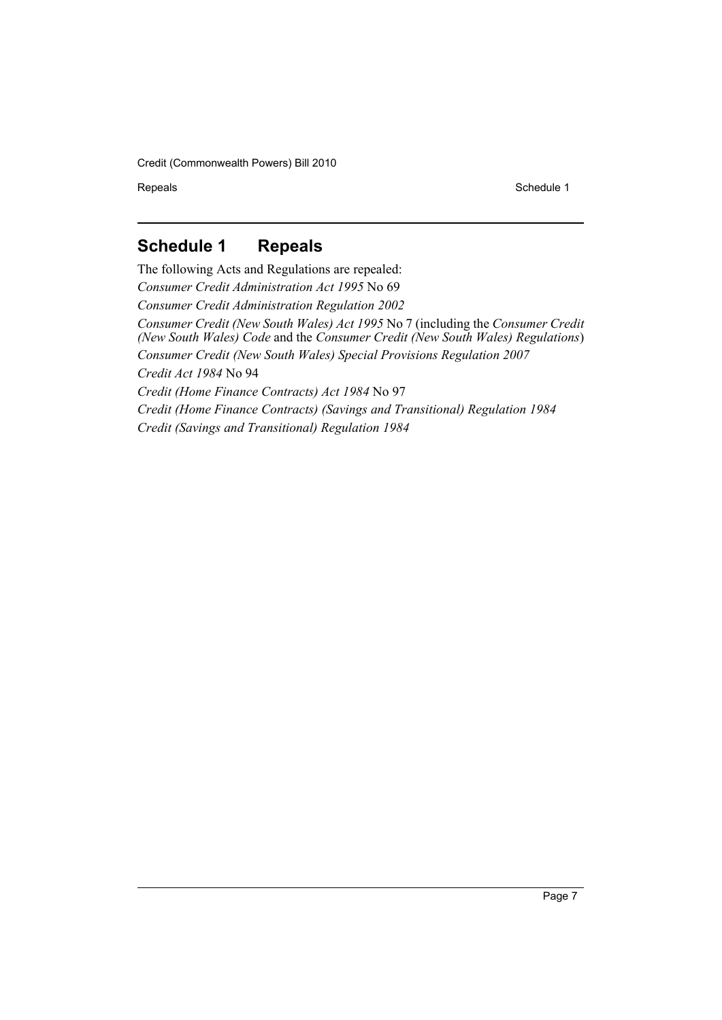Repeals Schedule 1

# <span id="page-7-0"></span>**Schedule 1 Repeals**

The following Acts and Regulations are repealed: *Consumer Credit Administration Act 1995* No 69 *Consumer Credit Administration Regulation 2002 Consumer Credit (New South Wales) Act 1995* No 7 (including the *Consumer Credit (New South Wales) Code* and the *Consumer Credit (New South Wales) Regulations*) *Consumer Credit (New South Wales) Special Provisions Regulation 2007 Credit Act 1984* No 94 *Credit (Home Finance Contracts) Act 1984* No 97 *Credit (Home Finance Contracts) (Savings and Transitional) Regulation 1984 Credit (Savings and Transitional) Regulation 1984*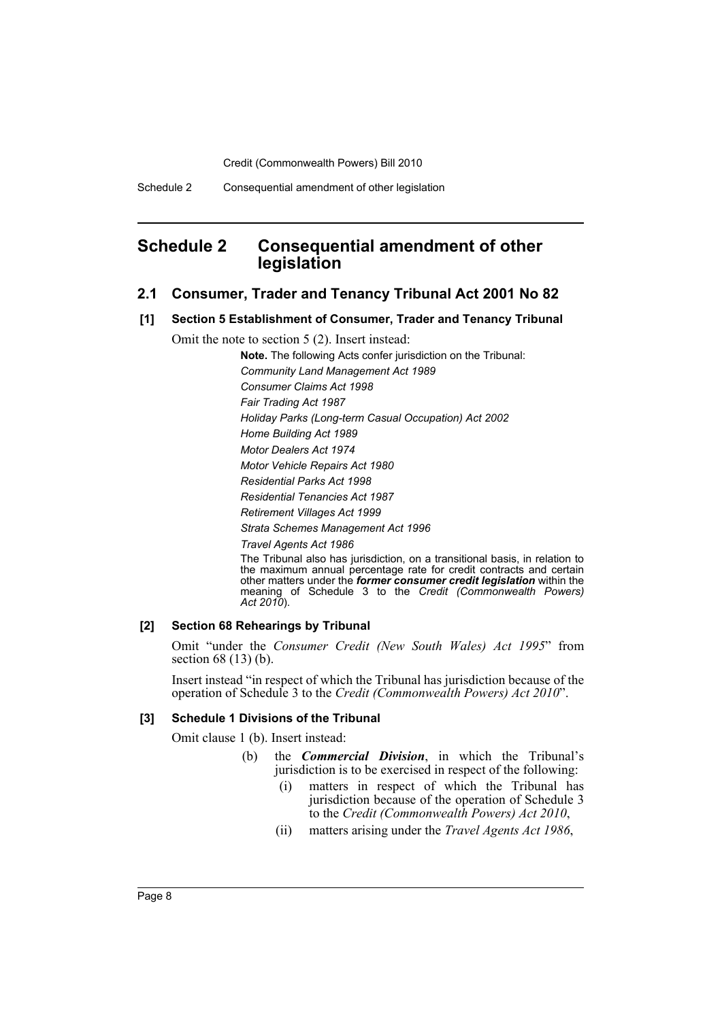# <span id="page-8-0"></span>**Schedule 2 Consequential amendment of other legislation**

- **2.1 Consumer, Trader and Tenancy Tribunal Act 2001 No 82**
- **[1] Section 5 Establishment of Consumer, Trader and Tenancy Tribunal**

Omit the note to section 5 (2). Insert instead:

**Note.** The following Acts confer jurisdiction on the Tribunal:

*Community Land Management Act 1989*

*Consumer Claims Act 1998*

*Fair Trading Act 1987*

*Holiday Parks (Long-term Casual Occupation) Act 2002*

*Home Building Act 1989*

*Motor Dealers Act 1974*

*Motor Vehicle Repairs Act 1980*

*Residential Parks Act 1998*

*Residential Tenancies Act 1987*

*Retirement Villages Act 1999*

*Strata Schemes Management Act 1996*

*Travel Agents Act 1986*

The Tribunal also has jurisdiction, on a transitional basis, in relation to the maximum annual percentage rate for credit contracts and certain other matters under the *former consumer credit legislation* within the meaning of Schedule 3 to the *Credit (Commonwealth Powers) Act 2010*).

#### **[2] Section 68 Rehearings by Tribunal**

Omit "under the *Consumer Credit (New South Wales) Act 1995*" from section 68 (13) (b).

Insert instead "in respect of which the Tribunal has jurisdiction because of the operation of Schedule 3 to the *Credit (Commonwealth Powers) Act 2010*".

#### **[3] Schedule 1 Divisions of the Tribunal**

Omit clause 1 (b). Insert instead:

- (b) the *Commercial Division*, in which the Tribunal's jurisdiction is to be exercised in respect of the following:
	- (i) matters in respect of which the Tribunal has jurisdiction because of the operation of Schedule 3 to the *Credit (Commonwealth Powers) Act 2010*,
	- (ii) matters arising under the *Travel Agents Act 1986*,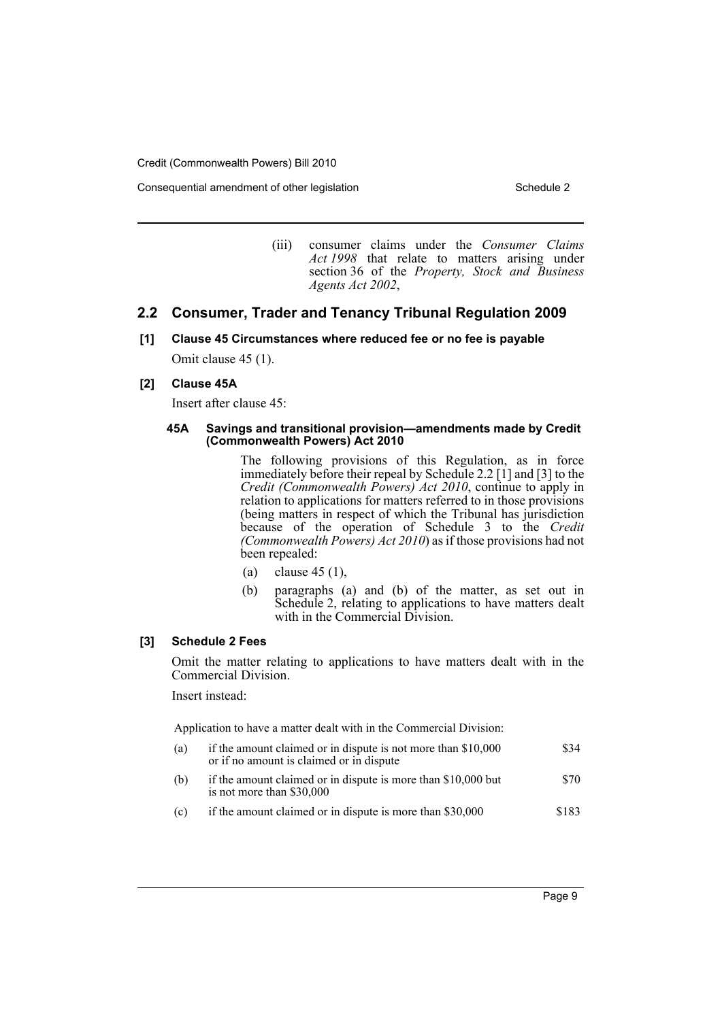Consequential amendment of other legislation Schedule 2 Schedule 2

(iii) consumer claims under the *Consumer Claims Act 1998* that relate to matters arising under section 36 of the *Property, Stock and Business Agents Act 2002*,

# **2.2 Consumer, Trader and Tenancy Tribunal Regulation 2009**

**[1] Clause 45 Circumstances where reduced fee or no fee is payable**

Omit clause 45 (1).

#### **[2] Clause 45A**

Insert after clause 45:

#### **45A Savings and transitional provision—amendments made by Credit (Commonwealth Powers) Act 2010**

The following provisions of this Regulation, as in force immediately before their repeal by Schedule 2.2 [1] and [3] to the *Credit (Commonwealth Powers) Act 2010*, continue to apply in relation to applications for matters referred to in those provisions (being matters in respect of which the Tribunal has jurisdiction because of the operation of Schedule 3 to the *Credit (Commonwealth Powers) Act 2010*) as if those provisions had not been repealed:

- (a) clause  $45(1)$ ,
- (b) paragraphs (a) and (b) of the matter, as set out in Schedule 2, relating to applications to have matters dealt with in the Commercial Division.

#### **[3] Schedule 2 Fees**

Omit the matter relating to applications to have matters dealt with in the Commercial Division.

Insert instead:

Application to have a matter dealt with in the Commercial Division:

- (a) if the amount claimed or in dispute is not more than \$10,000 or if no amount is claimed or in dispute \$34
- (b) if the amount claimed or in dispute is more than \$10,000 but is not more than \$30,000 \$70
- (c) if the amount claimed or in dispute is more than \$30,000 \$183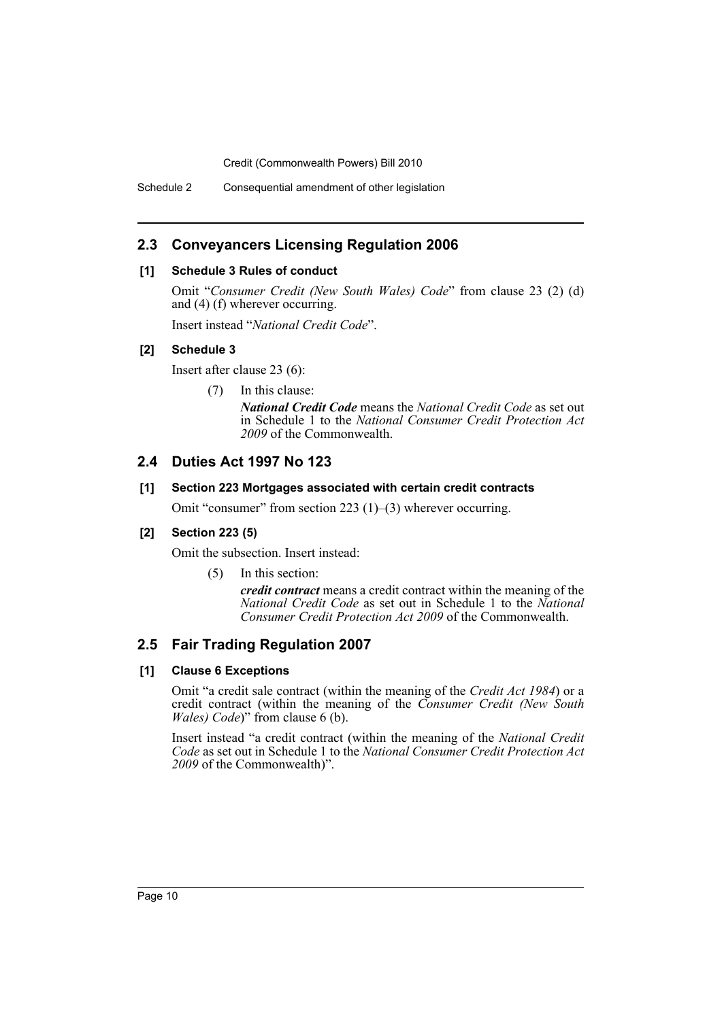Schedule 2 Consequential amendment of other legislation

# **2.3 Conveyancers Licensing Regulation 2006**

### **[1] Schedule 3 Rules of conduct**

Omit "*Consumer Credit (New South Wales) Code*" from clause 23 (2) (d) and (4) (f) wherever occurring.

Insert instead "*National Credit Code*".

### **[2] Schedule 3**

Insert after clause 23 (6):

(7) In this clause:

*National Credit Code* means the *National Credit Code* as set out in Schedule 1 to the *National Consumer Credit Protection Act 2009* of the Commonwealth.

# **2.4 Duties Act 1997 No 123**

#### **[1] Section 223 Mortgages associated with certain credit contracts**

Omit "consumer" from section 223 (1)–(3) wherever occurring.

### **[2] Section 223 (5)**

Omit the subsection. Insert instead:

(5) In this section:

*credit contract* means a credit contract within the meaning of the *National Credit Code* as set out in Schedule 1 to the *National Consumer Credit Protection Act 2009* of the Commonwealth.

# **2.5 Fair Trading Regulation 2007**

### **[1] Clause 6 Exceptions**

Omit "a credit sale contract (within the meaning of the *Credit Act 1984*) or a credit contract (within the meaning of the *Consumer Credit (New South Wales) Code*)" from clause 6 (b).

Insert instead "a credit contract (within the meaning of the *National Credit Code* as set out in Schedule 1 to the *National Consumer Credit Protection Act 2009* of the Commonwealth)".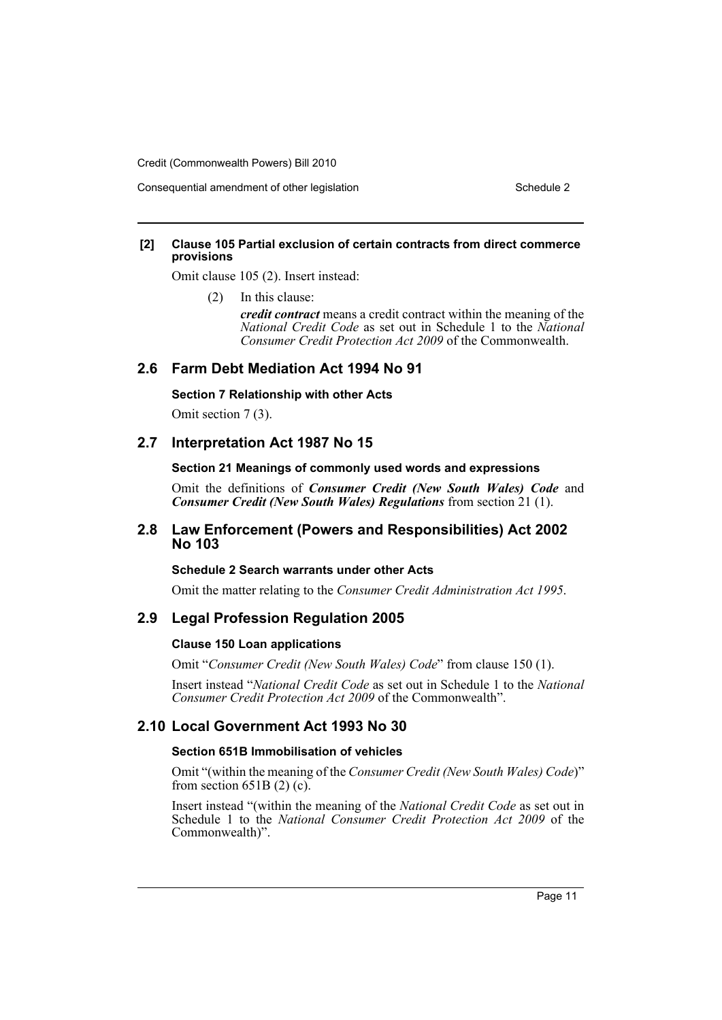Consequential amendment of other legislation Schedule 2 Schedule 2

#### **[2] Clause 105 Partial exclusion of certain contracts from direct commerce provisions**

Omit clause 105 (2). Insert instead:

(2) In this clause:

*credit contract* means a credit contract within the meaning of the *National Credit Code* as set out in Schedule 1 to the *National Consumer Credit Protection Act 2009* of the Commonwealth.

## **2.6 Farm Debt Mediation Act 1994 No 91**

#### **Section 7 Relationship with other Acts**

Omit section 7 (3).

# **2.7 Interpretation Act 1987 No 15**

#### **Section 21 Meanings of commonly used words and expressions**

Omit the definitions of *Consumer Credit (New South Wales) Code* and *Consumer Credit (New South Wales) Regulations* from section 21 (1).

# **2.8 Law Enforcement (Powers and Responsibilities) Act 2002 No 103**

### **Schedule 2 Search warrants under other Acts**

Omit the matter relating to the *Consumer Credit Administration Act 1995*.

### **2.9 Legal Profession Regulation 2005**

#### **Clause 150 Loan applications**

Omit "*Consumer Credit (New South Wales) Code*" from clause 150 (1).

Insert instead "*National Credit Code* as set out in Schedule 1 to the *National Consumer Credit Protection Act 2009* of the Commonwealth".

# **2.10 Local Government Act 1993 No 30**

#### **Section 651B Immobilisation of vehicles**

Omit "(within the meaning of the *Consumer Credit (New South Wales) Code*)" from section  $651B(2)$  (c).

Insert instead "(within the meaning of the *National Credit Code* as set out in Schedule 1 to the *National Consumer Credit Protection Act 2009* of the Commonwealth)".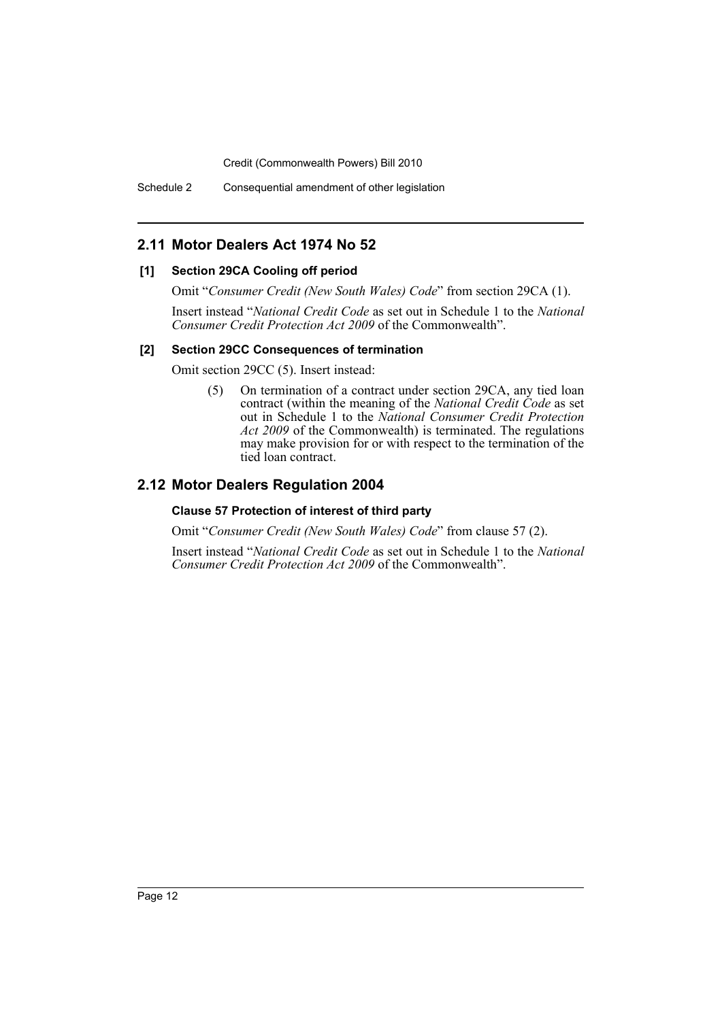# **2.11 Motor Dealers Act 1974 No 52**

#### **[1] Section 29CA Cooling off period**

Omit "*Consumer Credit (New South Wales) Code*" from section 29CA (1).

Insert instead "*National Credit Code* as set out in Schedule 1 to the *National Consumer Credit Protection Act 2009* of the Commonwealth".

#### **[2] Section 29CC Consequences of termination**

Omit section 29CC (5). Insert instead:

(5) On termination of a contract under section 29CA, any tied loan contract (within the meaning of the *National Credit Code* as set out in Schedule 1 to the *National Consumer Credit Protection Act 2009* of the Commonwealth) is terminated. The regulations may make provision for or with respect to the termination of the tied loan contract.

# **2.12 Motor Dealers Regulation 2004**

#### **Clause 57 Protection of interest of third party**

Omit "*Consumer Credit (New South Wales) Code*" from clause 57 (2).

Insert instead "*National Credit Code* as set out in Schedule 1 to the *National Consumer Credit Protection Act 2009* of the Commonwealth".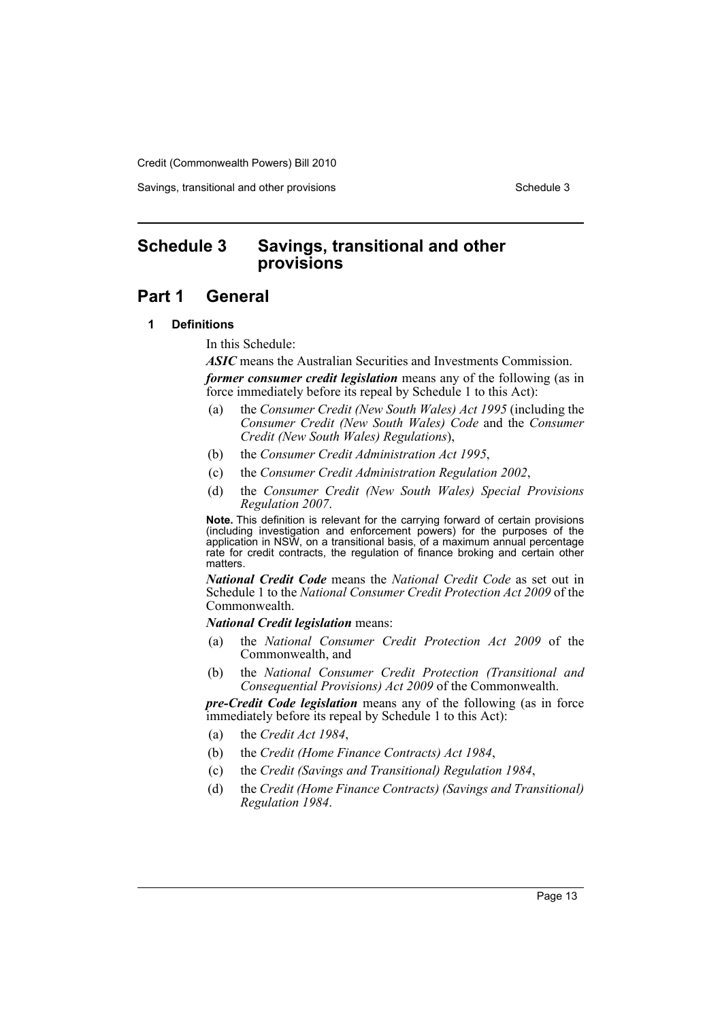Savings, transitional and other provisions Schedule 3 Schedule 3

# <span id="page-13-0"></span>**Schedule 3 Savings, transitional and other provisions**

# **Part 1 General**

### **1 Definitions**

In this Schedule:

*ASIC* means the Australian Securities and Investments Commission. *former consumer credit legislation* means any of the following (as in force immediately before its repeal by Schedule 1 to this Act):

- (a) the *Consumer Credit (New South Wales) Act 1995* (including the *Consumer Credit (New South Wales) Code* and the *Consumer Credit (New South Wales) Regulations*),
- (b) the *Consumer Credit Administration Act 1995*,
- (c) the *Consumer Credit Administration Regulation 2002*,
- (d) the *Consumer Credit (New South Wales) Special Provisions Regulation 2007*.

**Note.** This definition is relevant for the carrying forward of certain provisions (including investigation and enforcement powers) for the purposes of the application in NSW, on a transitional basis, of a maximum annual percentage rate for credit contracts, the regulation of finance broking and certain other matters.

*National Credit Code* means the *National Credit Code* as set out in Schedule 1 to the *National Consumer Credit Protection Act 2009* of the Commonwealth.

*National Credit legislation* means:

- (a) the *National Consumer Credit Protection Act 2009* of the Commonwealth, and
- (b) the *National Consumer Credit Protection (Transitional and Consequential Provisions) Act 2009* of the Commonwealth.

*pre-Credit Code legislation* means any of the following (as in force immediately before its repeal by Schedule 1 to this Act):

- (a) the *Credit Act 1984*,
- (b) the *Credit (Home Finance Contracts) Act 1984*,
- (c) the *Credit (Savings and Transitional) Regulation 1984*,
- (d) the *Credit (Home Finance Contracts) (Savings and Transitional) Regulation 1984*.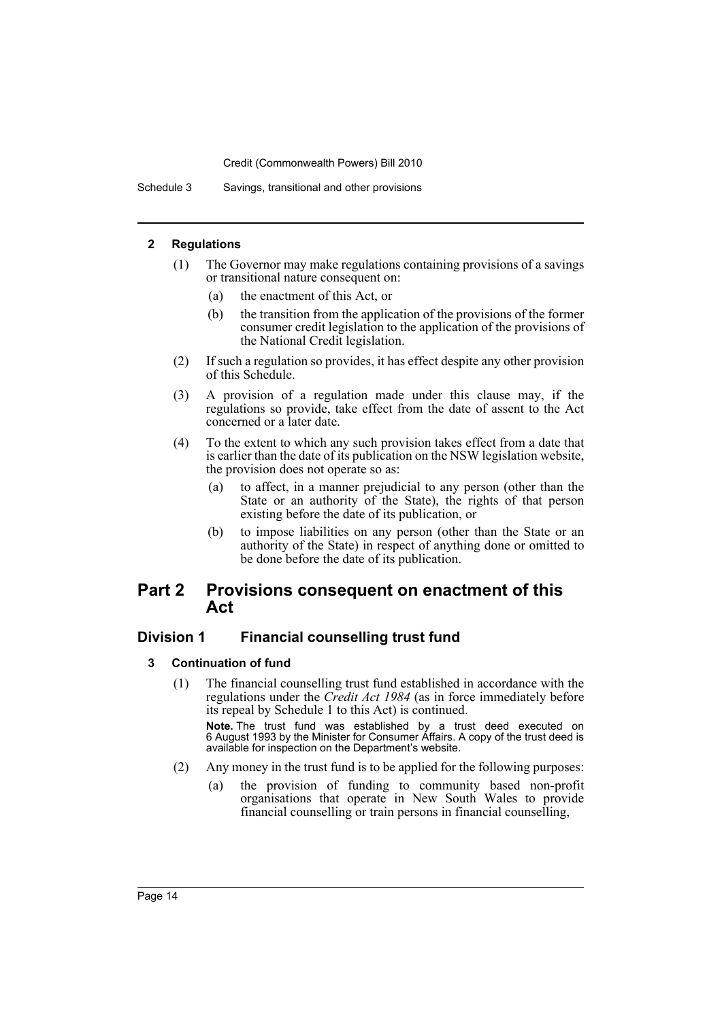Schedule 3 Savings, transitional and other provisions

#### **2 Regulations**

- (1) The Governor may make regulations containing provisions of a savings or transitional nature consequent on:
	- (a) the enactment of this Act, or
	- (b) the transition from the application of the provisions of the former consumer credit legislation to the application of the provisions of the National Credit legislation.
- (2) If such a regulation so provides, it has effect despite any other provision of this Schedule.
- (3) A provision of a regulation made under this clause may, if the regulations so provide, take effect from the date of assent to the Act concerned or a later date.
- (4) To the extent to which any such provision takes effect from a date that is earlier than the date of its publication on the NSW legislation website, the provision does not operate so as:
	- (a) to affect, in a manner prejudicial to any person (other than the State or an authority of the State), the rights of that person existing before the date of its publication, or
	- (b) to impose liabilities on any person (other than the State or an authority of the State) in respect of anything done or omitted to be done before the date of its publication.

# **Part 2 Provisions consequent on enactment of this Act**

### **Division 1 Financial counselling trust fund**

### **3 Continuation of fund**

(1) The financial counselling trust fund established in accordance with the regulations under the *Credit Act 1984* (as in force immediately before its repeal by Schedule 1 to this Act) is continued.

**Note.** The trust fund was established by a trust deed executed on 6 August 1993 by the Minister for Consumer Affairs. A copy of the trust deed is available for inspection on the Department's website.

- (2) Any money in the trust fund is to be applied for the following purposes:
	- (a) the provision of funding to community based non-profit organisations that operate in New South Wales to provide financial counselling or train persons in financial counselling,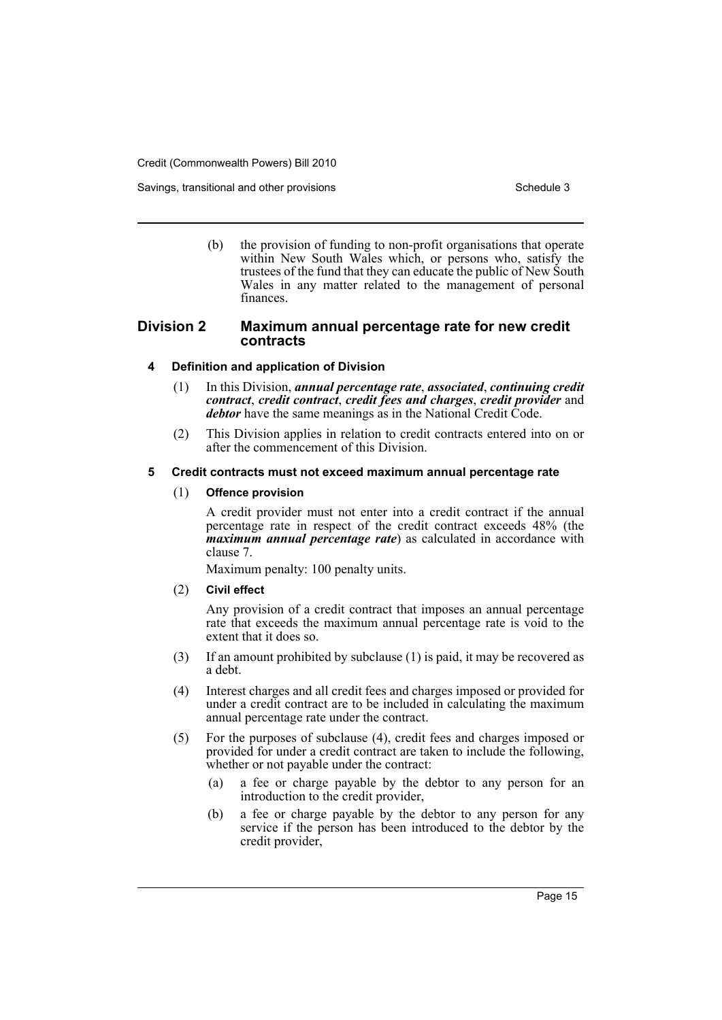Savings, transitional and other provisions Schedule 3 Schedule 3

(b) the provision of funding to non-profit organisations that operate within New South Wales which, or persons who, satisfy the trustees of the fund that they can educate the public of New South Wales in any matter related to the management of personal finances.

## **Division 2 Maximum annual percentage rate for new credit contracts**

#### **4 Definition and application of Division**

- (1) In this Division, *annual percentage rate*, *associated*, *continuing credit contract*, *credit contract*, *credit fees and charges*, *credit provider* and *debtor* have the same meanings as in the National Credit Code.
- (2) This Division applies in relation to credit contracts entered into on or after the commencement of this Division.

#### **5 Credit contracts must not exceed maximum annual percentage rate**

#### (1) **Offence provision**

A credit provider must not enter into a credit contract if the annual percentage rate in respect of the credit contract exceeds 48% (the *maximum annual percentage rate*) as calculated in accordance with clause 7.

Maximum penalty: 100 penalty units.

#### (2) **Civil effect**

Any provision of a credit contract that imposes an annual percentage rate that exceeds the maximum annual percentage rate is void to the extent that it does so.

- (3) If an amount prohibited by subclause (1) is paid, it may be recovered as a debt.
- (4) Interest charges and all credit fees and charges imposed or provided for under a credit contract are to be included in calculating the maximum annual percentage rate under the contract.
- (5) For the purposes of subclause (4), credit fees and charges imposed or provided for under a credit contract are taken to include the following, whether or not payable under the contract:
	- (a) a fee or charge payable by the debtor to any person for an introduction to the credit provider,
	- (b) a fee or charge payable by the debtor to any person for any service if the person has been introduced to the debtor by the credit provider,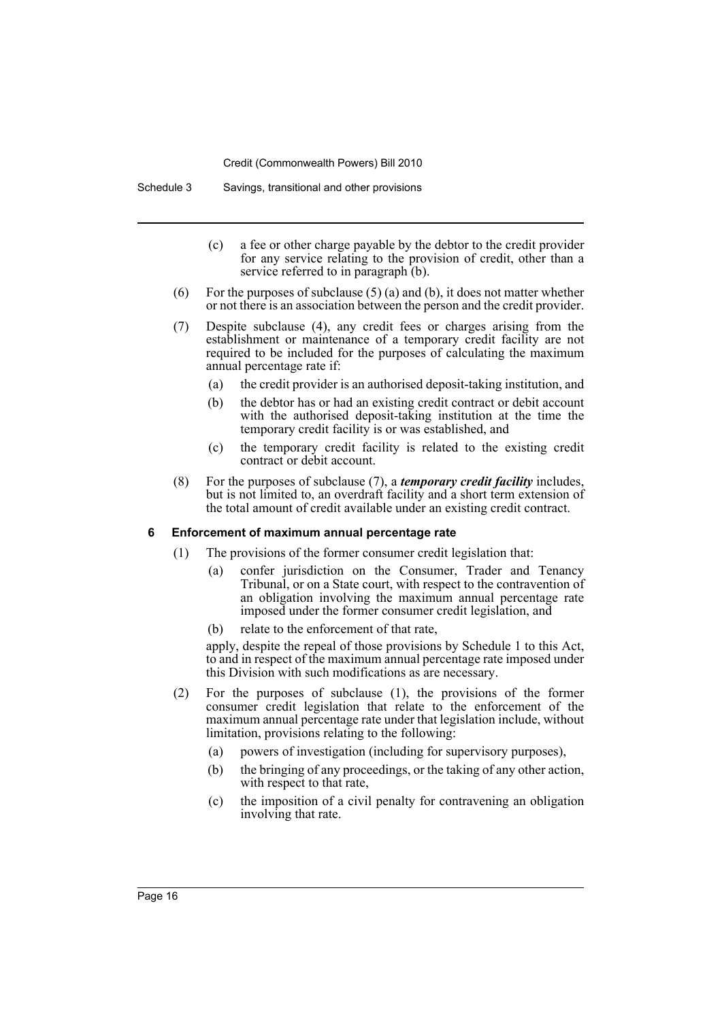Schedule 3 Savings, transitional and other provisions

- (c) a fee or other charge payable by the debtor to the credit provider for any service relating to the provision of credit, other than a service referred to in paragraph (b).
- (6) For the purposes of subclause  $(5)$  (a) and (b), it does not matter whether or not there is an association between the person and the credit provider.
- (7) Despite subclause (4), any credit fees or charges arising from the establishment or maintenance of a temporary credit facility are not required to be included for the purposes of calculating the maximum annual percentage rate if:
	- (a) the credit provider is an authorised deposit-taking institution, and
	- (b) the debtor has or had an existing credit contract or debit account with the authorised deposit-taking institution at the time the temporary credit facility is or was established, and
	- (c) the temporary credit facility is related to the existing credit contract or debit account.
- (8) For the purposes of subclause (7), a *temporary credit facility* includes, but is not limited to, an overdraft facility and a short term extension of the total amount of credit available under an existing credit contract.

#### **6 Enforcement of maximum annual percentage rate**

- (1) The provisions of the former consumer credit legislation that:
	- (a) confer jurisdiction on the Consumer, Trader and Tenancy Tribunal, or on a State court, with respect to the contravention of an obligation involving the maximum annual percentage rate imposed under the former consumer credit legislation, and
	- (b) relate to the enforcement of that rate,

apply, despite the repeal of those provisions by Schedule 1 to this Act, to and in respect of the maximum annual percentage rate imposed under this Division with such modifications as are necessary.

- (2) For the purposes of subclause (1), the provisions of the former consumer credit legislation that relate to the enforcement of the maximum annual percentage rate under that legislation include, without limitation, provisions relating to the following:
	- (a) powers of investigation (including for supervisory purposes),
	- (b) the bringing of any proceedings, or the taking of any other action, with respect to that rate,
	- (c) the imposition of a civil penalty for contravening an obligation involving that rate.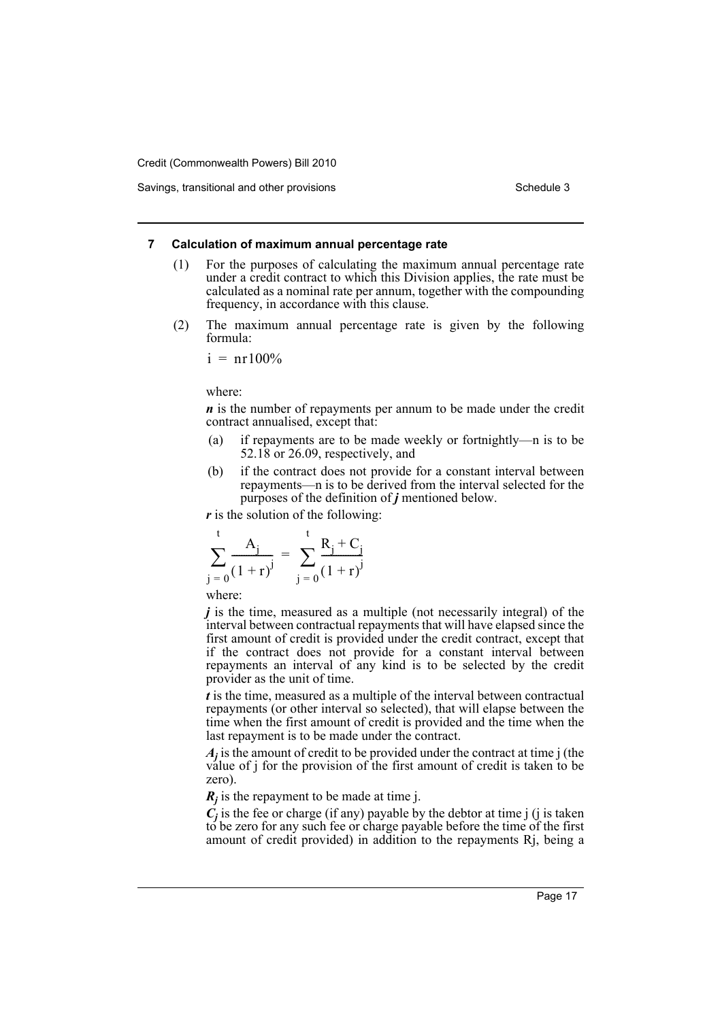#### **7 Calculation of maximum annual percentage rate**

- (1) For the purposes of calculating the maximum annual percentage rate under a credit contract to which this Division applies, the rate must be calculated as a nominal rate per annum, together with the compounding frequency, in accordance with this clause.
- (2) The maximum annual percentage rate is given by the following formula:

$$
i = nr100\%
$$

where:

*n* is the number of repayments per annum to be made under the credit contract annualised, except that:

- (a) if repayments are to be made weekly or fortnightly—n is to be 52.18 or 26.09, respectively, and
- (b) if the contract does not provide for a constant interval between repayments—n is to be derived from the interval selected for the purposes of the definition of *j* mentioned below.

*r* is the solution of the following:

$$
\sum_{j=0}^{t} \frac{A_j}{(1+r)^j} = \sum_{j=0}^{t} \frac{R_j + C_j}{(1+r)^j}
$$

where:

*j* is the time, measured as a multiple (not necessarily integral) of the interval between contractual repayments that will have elapsed since the first amount of credit is provided under the credit contract, except that if the contract does not provide for a constant interval between repayments an interval of any kind is to be selected by the credit provider as the unit of time.

*t* is the time, measured as a multiple of the interval between contractual repayments (or other interval so selected), that will elapse between the time when the first amount of credit is provided and the time when the last repayment is to be made under the contract.

*Aj* is the amount of credit to be provided under the contract at time j (the value of j for the provision of the first amount of credit is taken to be zero).

 $R_j$  is the repayment to be made at time j.

 $C_j$  is the fee or charge (if any) payable by the debtor at time j (j is taken to be zero for any such fee or charge payable before the time of the first amount of credit provided) in addition to the repayments Rj, being a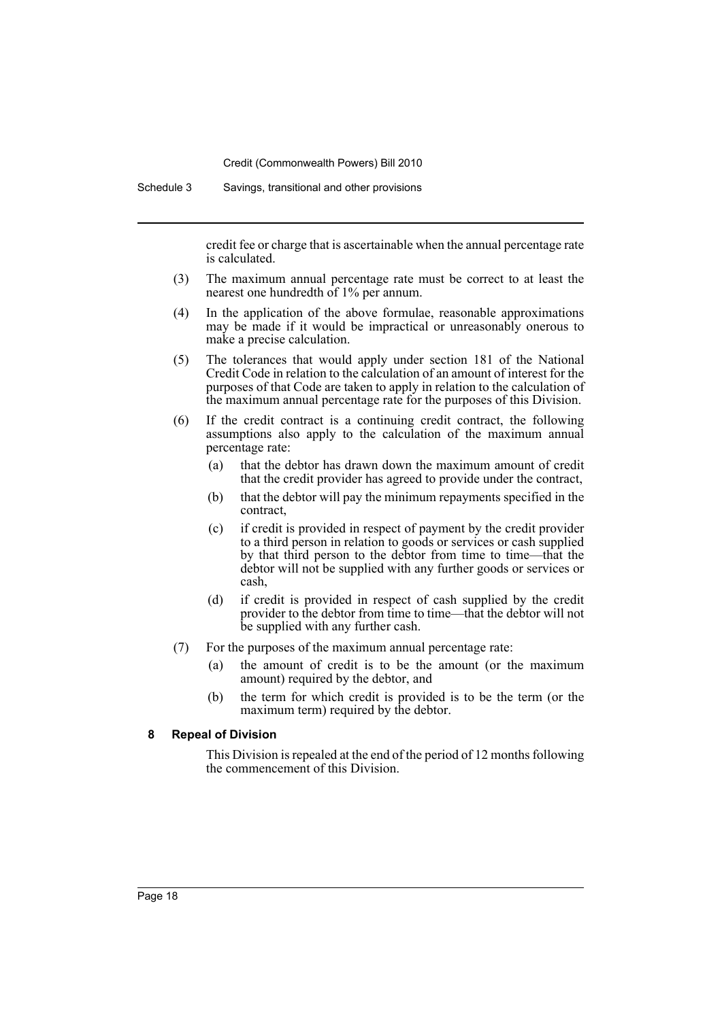Schedule 3 Savings, transitional and other provisions

credit fee or charge that is ascertainable when the annual percentage rate is calculated.

- (3) The maximum annual percentage rate must be correct to at least the nearest one hundredth of 1% per annum.
- (4) In the application of the above formulae, reasonable approximations may be made if it would be impractical or unreasonably onerous to make a precise calculation.
- (5) The tolerances that would apply under section 181 of the National Credit Code in relation to the calculation of an amount of interest for the purposes of that Code are taken to apply in relation to the calculation of the maximum annual percentage rate for the purposes of this Division.
- (6) If the credit contract is a continuing credit contract, the following assumptions also apply to the calculation of the maximum annual percentage rate:
	- (a) that the debtor has drawn down the maximum amount of credit that the credit provider has agreed to provide under the contract,
	- (b) that the debtor will pay the minimum repayments specified in the contract,
	- (c) if credit is provided in respect of payment by the credit provider to a third person in relation to goods or services or cash supplied by that third person to the debtor from time to time—that the debtor will not be supplied with any further goods or services or cash,
	- (d) if credit is provided in respect of cash supplied by the credit provider to the debtor from time to time—that the debtor will not be supplied with any further cash.
- (7) For the purposes of the maximum annual percentage rate:
	- (a) the amount of credit is to be the amount (or the maximum amount) required by the debtor, and
	- (b) the term for which credit is provided is to be the term (or the maximum term) required by the debtor.

#### **8 Repeal of Division**

This Division is repealed at the end of the period of 12 months following the commencement of this Division.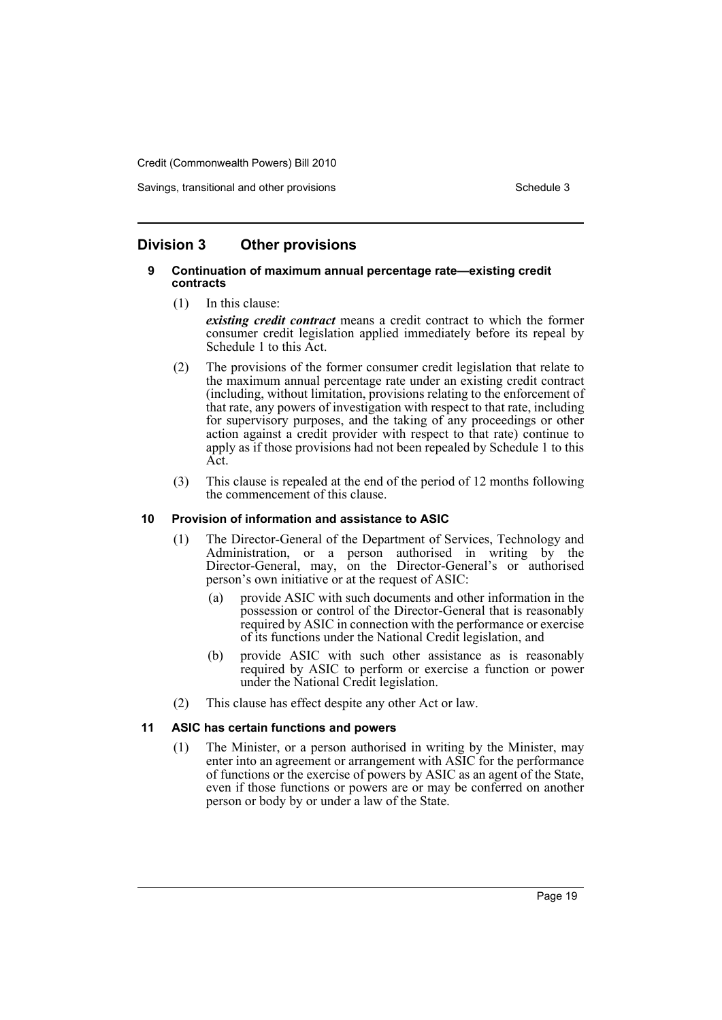Savings, transitional and other provisions Schedule 3 and Schedule 3

# **Division 3 Other provisions**

#### **9 Continuation of maximum annual percentage rate—existing credit contracts**

- (1) In this clause: *existing credit contract* means a credit contract to which the former consumer credit legislation applied immediately before its repeal by Schedule 1 to this Act.
- (2) The provisions of the former consumer credit legislation that relate to the maximum annual percentage rate under an existing credit contract (including, without limitation, provisions relating to the enforcement of that rate, any powers of investigation with respect to that rate, including for supervisory purposes, and the taking of any proceedings or other action against a credit provider with respect to that rate) continue to apply as if those provisions had not been repealed by Schedule 1 to this Act.
- (3) This clause is repealed at the end of the period of 12 months following the commencement of this clause.

#### **10 Provision of information and assistance to ASIC**

- (1) The Director-General of the Department of Services, Technology and Administration, or a person authorised in writing by the Director-General, may, on the Director-General's or authorised person's own initiative or at the request of ASIC:
	- (a) provide ASIC with such documents and other information in the possession or control of the Director-General that is reasonably required by ASIC in connection with the performance or exercise of its functions under the National Credit legislation, and
	- (b) provide ASIC with such other assistance as is reasonably required by ASIC to perform or exercise a function or power under the National Credit legislation.
- (2) This clause has effect despite any other Act or law.

#### **11 ASIC has certain functions and powers**

(1) The Minister, or a person authorised in writing by the Minister, may enter into an agreement or arrangement with ASIC for the performance of functions or the exercise of powers by ASIC as an agent of the State, even if those functions or powers are or may be conferred on another person or body by or under a law of the State.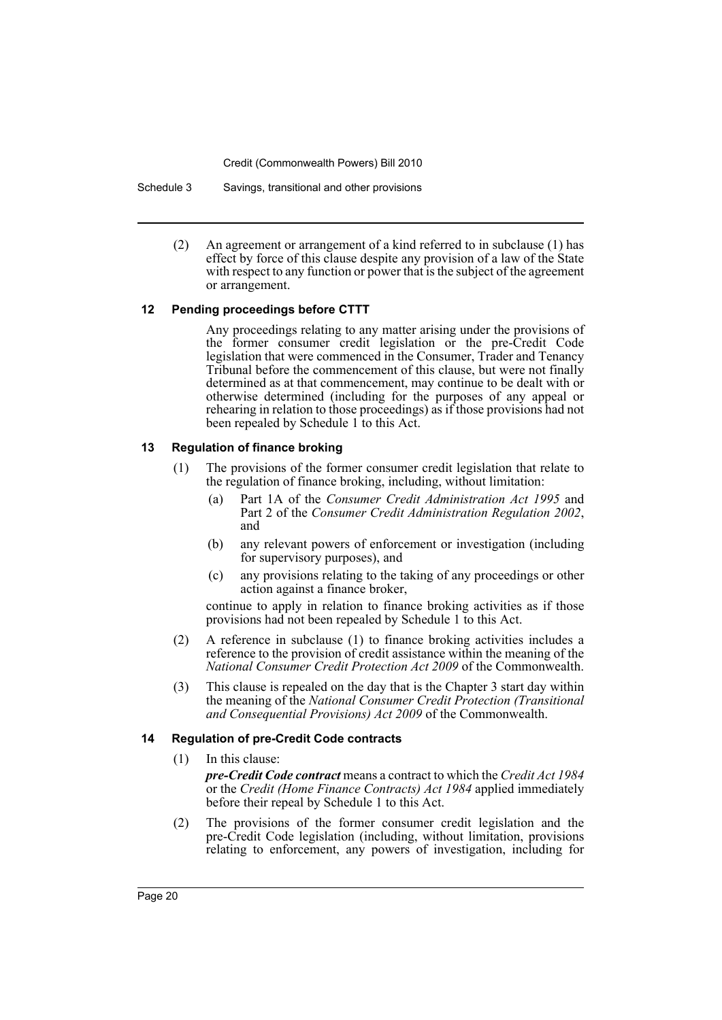Schedule 3 Savings, transitional and other provisions

(2) An agreement or arrangement of a kind referred to in subclause (1) has effect by force of this clause despite any provision of a law of the State with respect to any function or power that is the subject of the agreement or arrangement.

#### **12 Pending proceedings before CTTT**

Any proceedings relating to any matter arising under the provisions of the former consumer credit legislation or the pre-Credit Code legislation that were commenced in the Consumer, Trader and Tenancy Tribunal before the commencement of this clause, but were not finally determined as at that commencement, may continue to be dealt with or otherwise determined (including for the purposes of any appeal or rehearing in relation to those proceedings) as if those provisions had not been repealed by Schedule 1 to this Act.

#### **13 Regulation of finance broking**

- (1) The provisions of the former consumer credit legislation that relate to the regulation of finance broking, including, without limitation:
	- (a) Part 1A of the *Consumer Credit Administration Act 1995* and Part 2 of the *Consumer Credit Administration Regulation 2002*, and
	- (b) any relevant powers of enforcement or investigation (including for supervisory purposes), and
	- (c) any provisions relating to the taking of any proceedings or other action against a finance broker,

continue to apply in relation to finance broking activities as if those provisions had not been repealed by Schedule 1 to this Act.

- (2) A reference in subclause (1) to finance broking activities includes a reference to the provision of credit assistance within the meaning of the *National Consumer Credit Protection Act 2009* of the Commonwealth.
- (3) This clause is repealed on the day that is the Chapter 3 start day within the meaning of the *National Consumer Credit Protection (Transitional and Consequential Provisions) Act 2009* of the Commonwealth.

#### **14 Regulation of pre-Credit Code contracts**

(1) In this clause:

*pre-Credit Code contract* means a contract to which the *Credit Act 1984* or the *Credit (Home Finance Contracts) Act 1984* applied immediately before their repeal by Schedule 1 to this Act.

(2) The provisions of the former consumer credit legislation and the pre-Credit Code legislation (including, without limitation, provisions relating to enforcement, any powers of investigation, including for